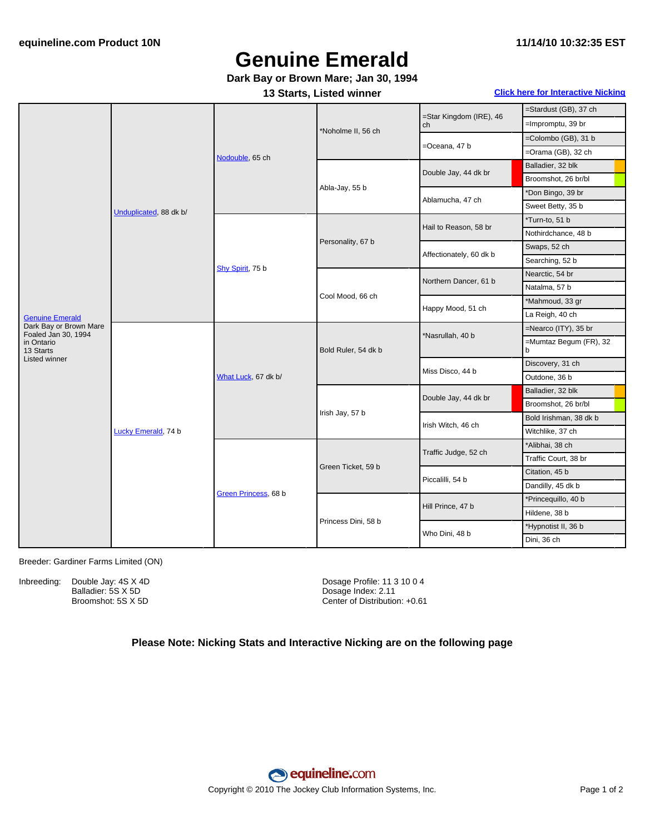# **Genuine Emerald**

### **Dark Bay or Brown Mare; Jan 30, 1994**

#### **13 Starts, Listed winner Click here for [Interactive](#page-1-0) Nicking**

| <b>Genuine Emerald</b><br>Dark Bay or Brown Mare<br>Foaled Jan 30, 1994<br>in Ontario<br>13 Starts | Unduplicated, 88 dk b/ | Nodouble, 65 ch      | *Noholme II, 56 ch  | =Star Kingdom (IRE), 46<br>ch | =Stardust (GB), 37 ch       |
|----------------------------------------------------------------------------------------------------|------------------------|----------------------|---------------------|-------------------------------|-----------------------------|
|                                                                                                    |                        |                      |                     |                               | =Impromptu, 39 br           |
|                                                                                                    |                        |                      |                     | =Oceana, 47 b                 | =Colombo (GB), 31 b         |
|                                                                                                    |                        |                      |                     |                               | $=$ Orama (GB), 32 ch       |
|                                                                                                    |                        |                      | Abla-Jay, 55 b      | Double Jay, 44 dk br          | Balladier, 32 blk           |
|                                                                                                    |                        |                      |                     |                               | Broomshot, 26 br/bl         |
|                                                                                                    |                        |                      |                     | Ablamucha, 47 ch              | *Don Bingo, 39 br           |
|                                                                                                    |                        |                      |                     |                               | Sweet Betty, 35 b           |
|                                                                                                    |                        | Shy Spirit, 75 b     | Personality, 67 b   | Hail to Reason, 58 br         | *Turn-to, 51 b              |
|                                                                                                    |                        |                      |                     |                               | Nothirdchance, 48 b         |
|                                                                                                    |                        |                      |                     | Affectionately, 60 dk b       | Swaps, 52 ch                |
|                                                                                                    |                        |                      |                     |                               | Searching, 52 b             |
|                                                                                                    |                        |                      | Cool Mood, 66 ch    | Northern Dancer, 61 b         | Nearctic, 54 br             |
|                                                                                                    |                        |                      |                     |                               | Natalma, 57 b               |
|                                                                                                    |                        |                      |                     | Happy Mood, 51 ch             | *Mahmoud, 33 gr             |
|                                                                                                    |                        |                      |                     |                               | La Reigh, 40 ch             |
|                                                                                                    | Lucky Emerald, 74 b    | What Luck, 67 dk b/  | Bold Ruler, 54 dk b | *Nasrullah, 40 b              | =Nearco (ITY), 35 br        |
|                                                                                                    |                        |                      |                     |                               | =Mumtaz Begum (FR), 32<br>b |
| Listed winner                                                                                      |                        |                      |                     | Miss Disco, 44 b              | Discovery, 31 ch            |
|                                                                                                    |                        |                      |                     |                               | Outdone, 36 b               |
|                                                                                                    |                        |                      | Irish Jay, 57 b     | Double Jay, 44 dk br          | Balladier, 32 blk           |
|                                                                                                    |                        |                      |                     |                               | Broomshot, 26 br/bl         |
|                                                                                                    |                        |                      |                     | Irish Witch, 46 ch            | Bold Irishman, 38 dk b      |
|                                                                                                    |                        |                      |                     |                               | Witchlike, 37 ch            |
|                                                                                                    |                        | Green Princess, 68 b | Green Ticket, 59 b  | Traffic Judge, 52 ch          | *Alibhai, 38 ch             |
|                                                                                                    |                        |                      |                     |                               | Traffic Court, 38 br        |
|                                                                                                    |                        |                      |                     | Piccalilli, 54 b              | Citation, 45 b              |
|                                                                                                    |                        |                      |                     |                               | Dandilly, 45 dk b           |
|                                                                                                    |                        |                      | Princess Dini, 58 b | Hill Prince, 47 b             | *Princequillo, 40 b         |
|                                                                                                    |                        |                      |                     |                               | Hildene, 38 b               |
|                                                                                                    |                        |                      |                     | Who Dini, 48 b                | *Hypnotist II, 36 b         |
|                                                                                                    |                        |                      |                     |                               | Dini, 36 ch                 |

Breeder: Gardiner Farms Limited (ON)

Inbreeding: Double Jay: 4S X 4D Balladier: 5S X 5D Broomshot: 5S X 5D

Dosage Profile: 11 3 10 0 4 Dosage Index: 2.11 Center of Distribution: +0.61

### **Please Note: Nicking Stats and Interactive Nicking are on the following page**